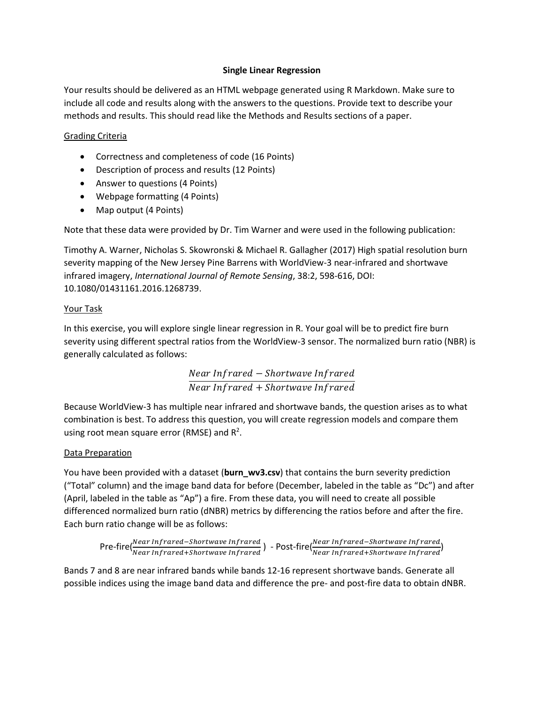## **Single Linear Regression**

Your results should be delivered as an HTML webpage generated using R Markdown. Make sure to include all code and results along with the answers to the questions. Provide text to describe your methods and results. This should read like the Methods and Results sections of a paper.

## Grading Criteria

- Correctness and completeness of code (16 Points)
- Description of process and results (12 Points)
- Answer to questions (4 Points)
- Webpage formatting (4 Points)
- Map output (4 Points)

Note that these data were provided by Dr. Tim Warner and were used in the following publication:

Timothy A. Warner, Nicholas S. Skowronski & Michael R. Gallagher (2017) High spatial resolution burn severity mapping of the New Jersey Pine Barrens with WorldView-3 near-infrared and shortwave infrared imagery, *International Journal of Remote Sensing*, 38:2, 598-616, DOI: 10.1080/01431161.2016.1268739.

### Your Task

In this exercise, you will explore single linear regression in R. Your goal will be to predict fire burn severity using different spectral ratios from the WorldView-3 sensor. The normalized burn ratio (NBR) is generally calculated as follows:

> Near Infrared – Shortwave Infrared Near Infrared + Shortwave Infrared

Because WorldView-3 has multiple near infrared and shortwave bands, the question arises as to what combination is best. To address this question, you will create regression models and compare them using root mean square error (RMSE) and  $R^2$ .

# Data Preparation

You have been provided with a dataset (**burn\_wv3.csv**) that contains the burn severity prediction ("Total" column) and the image band data for before (December, labeled in the table as "Dc") and after (April, labeled in the table as "Ap") a fire. From these data, you will need to create all possible differenced normalized burn ratio (dNBR) metrics by differencing the ratios before and after the fire. Each burn ratio change will be as follows:

$$
\textsf{Pre-fire}(\frac{Near\text{ Infrared-Shortwave\text{ Infrared}}{Near\text{ Infrared+Shortwave\text{ Infrared}}}) - \textsf{Post-fire}(\frac{Near\text{ Infrared-Shortwave\text{ Infrared}}{Near\text{ Infrared+Shortwave\text{ Infrared}}})
$$

Bands 7 and 8 are near infrared bands while bands 12-16 represent shortwave bands. Generate all possible indices using the image band data and difference the pre- and post-fire data to obtain dNBR.